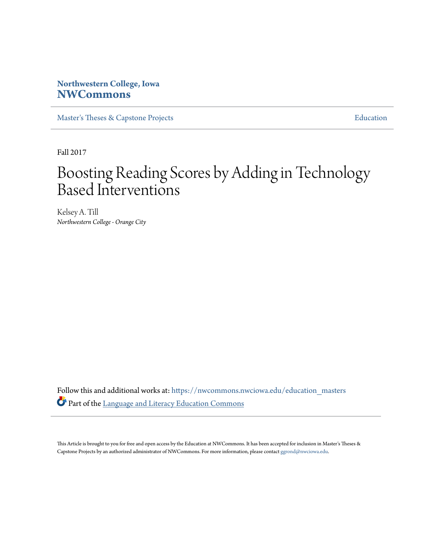# **Northwestern College, Iowa [NWCommons](https://nwcommons.nwciowa.edu?utm_source=nwcommons.nwciowa.edu%2Feducation_masters%2F57&utm_medium=PDF&utm_campaign=PDFCoverPages)**

[Master's Theses & Capstone Projects](https://nwcommons.nwciowa.edu/education_masters?utm_source=nwcommons.nwciowa.edu%2Feducation_masters%2F57&utm_medium=PDF&utm_campaign=PDFCoverPages) **[Education](https://nwcommons.nwciowa.edu/education?utm_source=nwcommons.nwciowa.edu%2Feducation_masters%2F57&utm_medium=PDF&utm_campaign=PDFCoverPages)** 

Fall 2017

# Boosting Reading Scores by Adding in Technology Based Interventions

Kelsey A. Till *Northwestern College - Orange City*

Follow this and additional works at: [https://nwcommons.nwciowa.edu/education\\_masters](https://nwcommons.nwciowa.edu/education_masters?utm_source=nwcommons.nwciowa.edu%2Feducation_masters%2F57&utm_medium=PDF&utm_campaign=PDFCoverPages) Part of the [Language and Literacy Education Commons](http://network.bepress.com/hgg/discipline/1380?utm_source=nwcommons.nwciowa.edu%2Feducation_masters%2F57&utm_medium=PDF&utm_campaign=PDFCoverPages)

This Article is brought to you for free and open access by the Education at NWCommons. It has been accepted for inclusion in Master's Theses & Capstone Projects by an authorized administrator of NWCommons. For more information, please contact [ggrond@nwciowa.edu.](mailto:ggrond@nwciowa.edu)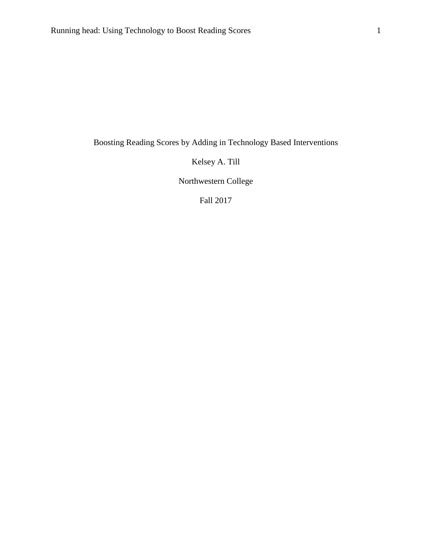Boosting Reading Scores by Adding in Technology Based Interventions

Kelsey A. Till

Northwestern College

Fall 2017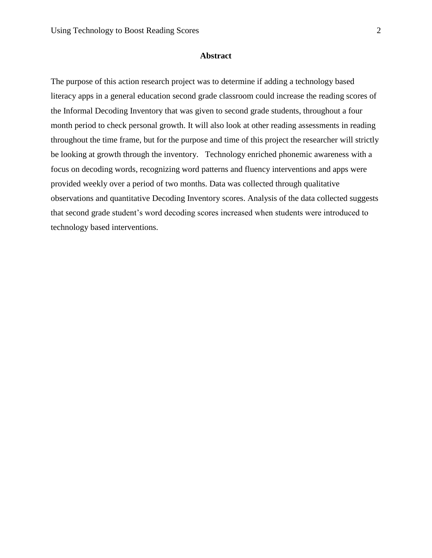#### **Abstract**

The purpose of this action research project was to determine if adding a technology based literacy apps in a general education second grade classroom could increase the reading scores of the Informal Decoding Inventory that was given to second grade students, throughout a four month period to check personal growth. It will also look at other reading assessments in reading throughout the time frame, but for the purpose and time of this project the researcher will strictly be looking at growth through the inventory. Technology enriched phonemic awareness with a focus on decoding words, recognizing word patterns and fluency interventions and apps were provided weekly over a period of two months. Data was collected through qualitative observations and quantitative Decoding Inventory scores. Analysis of the data collected suggests that second grade student's word decoding scores increased when students were introduced to technology based interventions.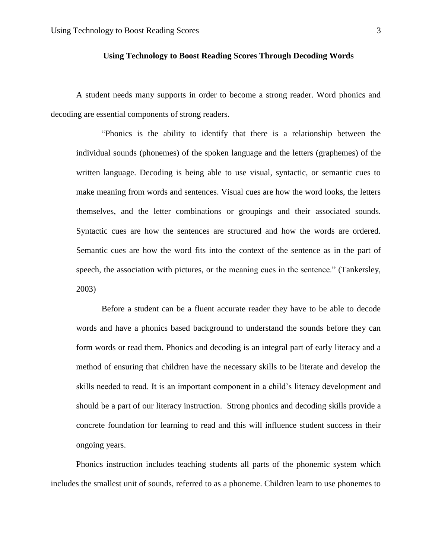# **Using Technology to Boost Reading Scores Through Decoding Words**

A student needs many supports in order to become a strong reader. Word phonics and decoding are essential components of strong readers.

"Phonics is the ability to identify that there is a relationship between the individual sounds (phonemes) of the spoken language and the letters (graphemes) of the written language. Decoding is being able to use visual, syntactic, or semantic cues to make meaning from words and sentences. Visual cues are how the word looks, the letters themselves, and the letter combinations or groupings and their associated sounds. Syntactic cues are how the sentences are structured and how the words are ordered. Semantic cues are how the word fits into the context of the sentence as in the part of speech, the association with pictures, or the meaning cues in the sentence." (Tankersley, 2003)

Before a student can be a fluent accurate reader they have to be able to decode words and have a phonics based background to understand the sounds before they can form words or read them. Phonics and decoding is an integral part of early literacy and a method of ensuring that children have the necessary skills to be literate and develop the skills needed to read. It is an important component in a child's literacy development and should be a part of our literacy instruction. Strong phonics and decoding skills provide a concrete foundation for learning to read and this will influence student success in their ongoing years.

Phonics instruction includes teaching students all parts of the phonemic system which includes the smallest unit of sounds, referred to as a phoneme. Children learn to use phonemes to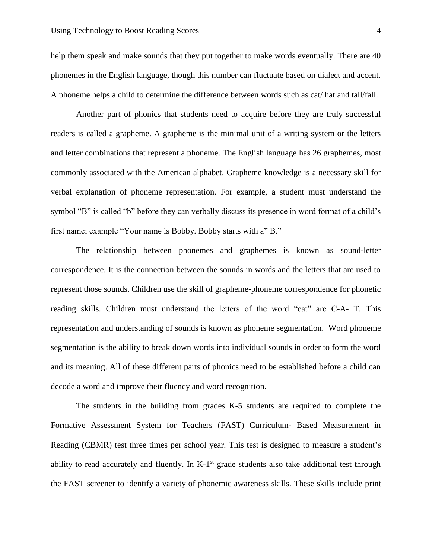help them speak and make sounds that they put together to make words eventually. There are 40 phonemes in the English language, though this number can fluctuate based on dialect and accent. A phoneme helps a child to determine the difference between words such as cat/ hat and tall/fall.

Another part of phonics that students need to acquire before they are truly successful readers is called a grapheme. A grapheme is the minimal unit of a writing system or the letters and letter combinations that represent a phoneme. The English language has 26 graphemes, most commonly associated with the American alphabet. Grapheme knowledge is a necessary skill for verbal explanation of phoneme representation. For example, a student must understand the symbol "B" is called "b" before they can verbally discuss its presence in word format of a child's first name; example "Your name is Bobby. Bobby starts with a" B."

 The relationship between phonemes and graphemes is known as sound-letter correspondence. It is the connection between the sounds in words and the letters that are used to represent those sounds. Children use the skill of grapheme-phoneme correspondence for phonetic reading skills. Children must understand the letters of the word "cat" are C-A- T. This representation and understanding of sounds is known as phoneme segmentation. Word phoneme segmentation is the ability to break down words into individual sounds in order to form the word and its meaning. All of these different parts of phonics need to be established before a child can decode a word and improve their fluency and word recognition.

The students in the building from grades K-5 students are required to complete the Formative Assessment System for Teachers (FAST) Curriculum- Based Measurement in Reading (CBMR) test three times per school year. This test is designed to measure a student's ability to read accurately and fluently. In  $K-1<sup>st</sup>$  grade students also take additional test through the FAST screener to identify a variety of phonemic awareness skills. These skills include print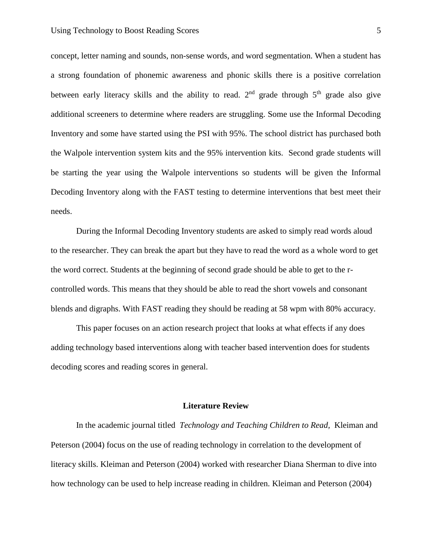concept, letter naming and sounds, non-sense words, and word segmentation. When a student has a strong foundation of phonemic awareness and phonic skills there is a positive correlation between early literacy skills and the ability to read.  $2<sup>nd</sup>$  grade through  $5<sup>th</sup>$  grade also give additional screeners to determine where readers are struggling. Some use the Informal Decoding Inventory and some have started using the PSI with 95%. The school district has purchased both the Walpole intervention system kits and the 95% intervention kits. Second grade students will be starting the year using the Walpole interventions so students will be given the Informal Decoding Inventory along with the FAST testing to determine interventions that best meet their needs.

During the Informal Decoding Inventory students are asked to simply read words aloud to the researcher. They can break the apart but they have to read the word as a whole word to get the word correct. Students at the beginning of second grade should be able to get to the rcontrolled words. This means that they should be able to read the short vowels and consonant blends and digraphs. With FAST reading they should be reading at 58 wpm with 80% accuracy.

This paper focuses on an action research project that looks at what effects if any does adding technology based interventions along with teacher based intervention does for students decoding scores and reading scores in general.

#### **Literature Review**

In the academic journal titled *Technology and Teaching Children to Read,* Kleiman and Peterson (2004) focus on the use of reading technology in correlation to the development of literacy skills. Kleiman and Peterson (2004) worked with researcher Diana Sherman to dive into how technology can be used to help increase reading in children. Kleiman and Peterson (2004)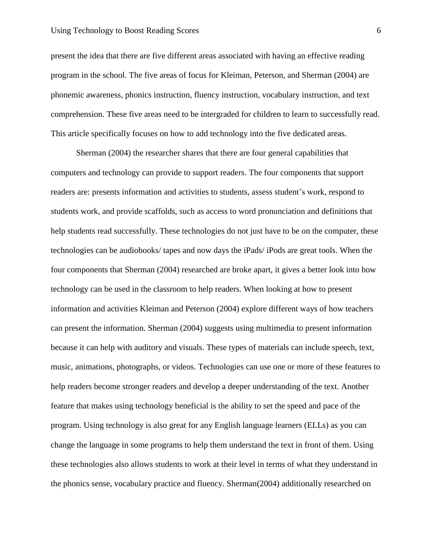present the idea that there are five different areas associated with having an effective reading program in the school. The five areas of focus for Kleiman, Peterson, and Sherman (2004) are phonemic awareness, phonics instruction, fluency instruction, vocabulary instruction, and text comprehension. These five areas need to be intergraded for children to learn to successfully read. This article specifically focuses on how to add technology into the five dedicated areas.

Sherman (2004) the researcher shares that there are four general capabilities that computers and technology can provide to support readers. The four components that support readers are: presents information and activities to students, assess student's work, respond to students work, and provide scaffolds, such as access to word pronunciation and definitions that help students read successfully. These technologies do not just have to be on the computer, these technologies can be audiobooks/ tapes and now days the iPads/ iPods are great tools. When the four components that Sherman (2004) researched are broke apart, it gives a better look into how technology can be used in the classroom to help readers. When looking at how to present information and activities Kleiman and Peterson (2004) explore different ways of how teachers can present the information. Sherman (2004) suggests using multimedia to present information because it can help with auditory and visuals. These types of materials can include speech, text, music, animations, photographs, or videos. Technologies can use one or more of these features to help readers become stronger readers and develop a deeper understanding of the text. Another feature that makes using technology beneficial is the ability to set the speed and pace of the program. Using technology is also great for any English language learners (ELLs) as you can change the language in some programs to help them understand the text in front of them. Using these technologies also allows students to work at their level in terms of what they understand in the phonics sense, vocabulary practice and fluency. Sherman(2004) additionally researched on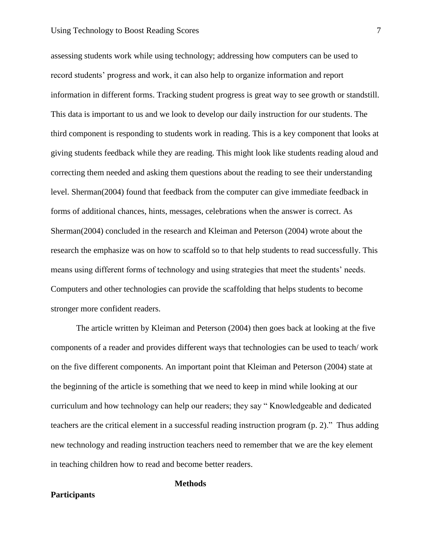assessing students work while using technology; addressing how computers can be used to record students' progress and work, it can also help to organize information and report information in different forms. Tracking student progress is great way to see growth or standstill. This data is important to us and we look to develop our daily instruction for our students. The third component is responding to students work in reading. This is a key component that looks at giving students feedback while they are reading. This might look like students reading aloud and correcting them needed and asking them questions about the reading to see their understanding level. Sherman(2004) found that feedback from the computer can give immediate feedback in forms of additional chances, hints, messages, celebrations when the answer is correct. As Sherman(2004) concluded in the research and Kleiman and Peterson (2004) wrote about the research the emphasize was on how to scaffold so to that help students to read successfully. This means using different forms of technology and using strategies that meet the students' needs. Computers and other technologies can provide the scaffolding that helps students to become stronger more confident readers.

The article written by Kleiman and Peterson (2004) then goes back at looking at the five components of a reader and provides different ways that technologies can be used to teach/ work on the five different components. An important point that Kleiman and Peterson (2004) state at the beginning of the article is something that we need to keep in mind while looking at our curriculum and how technology can help our readers; they say " Knowledgeable and dedicated teachers are the critical element in a successful reading instruction program (p. 2)." Thus adding new technology and reading instruction teachers need to remember that we are the key element in teaching children how to read and become better readers.

# **Methods**

#### **Participants**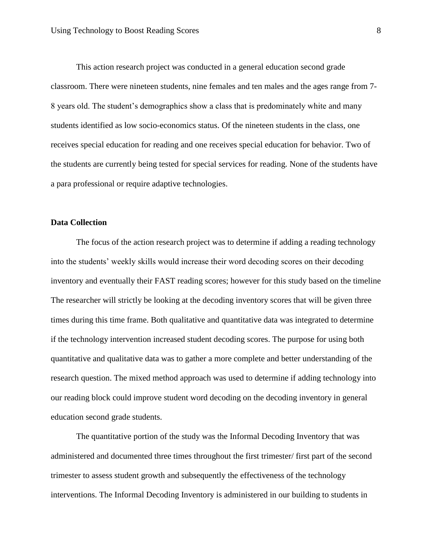This action research project was conducted in a general education second grade classroom. There were nineteen students, nine females and ten males and the ages range from 7- 8 years old. The student's demographics show a class that is predominately white and many students identified as low socio-economics status. Of the nineteen students in the class, one receives special education for reading and one receives special education for behavior. Two of the students are currently being tested for special services for reading. None of the students have a para professional or require adaptive technologies.

#### **Data Collection**

The focus of the action research project was to determine if adding a reading technology into the students' weekly skills would increase their word decoding scores on their decoding inventory and eventually their FAST reading scores; however for this study based on the timeline The researcher will strictly be looking at the decoding inventory scores that will be given three times during this time frame. Both qualitative and quantitative data was integrated to determine if the technology intervention increased student decoding scores. The purpose for using both quantitative and qualitative data was to gather a more complete and better understanding of the research question. The mixed method approach was used to determine if adding technology into our reading block could improve student word decoding on the decoding inventory in general education second grade students.

The quantitative portion of the study was the Informal Decoding Inventory that was administered and documented three times throughout the first trimester/ first part of the second trimester to assess student growth and subsequently the effectiveness of the technology interventions. The Informal Decoding Inventory is administered in our building to students in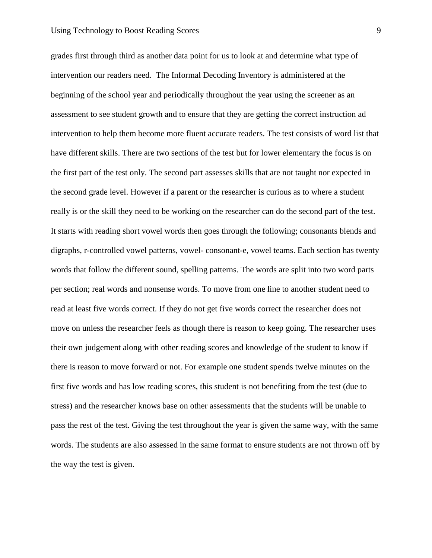grades first through third as another data point for us to look at and determine what type of intervention our readers need. The Informal Decoding Inventory is administered at the beginning of the school year and periodically throughout the year using the screener as an assessment to see student growth and to ensure that they are getting the correct instruction ad intervention to help them become more fluent accurate readers. The test consists of word list that have different skills. There are two sections of the test but for lower elementary the focus is on the first part of the test only. The second part assesses skills that are not taught nor expected in the second grade level. However if a parent or the researcher is curious as to where a student really is or the skill they need to be working on the researcher can do the second part of the test. It starts with reading short vowel words then goes through the following; consonants blends and digraphs, r-controlled vowel patterns, vowel- consonant-e, vowel teams. Each section has twenty words that follow the different sound, spelling patterns. The words are split into two word parts per section; real words and nonsense words. To move from one line to another student need to read at least five words correct. If they do not get five words correct the researcher does not move on unless the researcher feels as though there is reason to keep going. The researcher uses their own judgement along with other reading scores and knowledge of the student to know if there is reason to move forward or not. For example one student spends twelve minutes on the first five words and has low reading scores, this student is not benefiting from the test (due to stress) and the researcher knows base on other assessments that the students will be unable to pass the rest of the test. Giving the test throughout the year is given the same way, with the same words. The students are also assessed in the same format to ensure students are not thrown off by the way the test is given.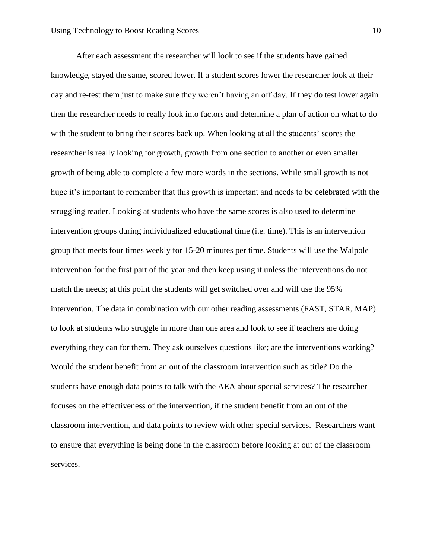After each assessment the researcher will look to see if the students have gained knowledge, stayed the same, scored lower. If a student scores lower the researcher look at their day and re-test them just to make sure they weren't having an off day. If they do test lower again then the researcher needs to really look into factors and determine a plan of action on what to do with the student to bring their scores back up. When looking at all the students' scores the researcher is really looking for growth, growth from one section to another or even smaller growth of being able to complete a few more words in the sections. While small growth is not huge it's important to remember that this growth is important and needs to be celebrated with the struggling reader. Looking at students who have the same scores is also used to determine intervention groups during individualized educational time (i.e. time). This is an intervention group that meets four times weekly for 15-20 minutes per time. Students will use the Walpole intervention for the first part of the year and then keep using it unless the interventions do not match the needs; at this point the students will get switched over and will use the 95% intervention. The data in combination with our other reading assessments (FAST, STAR, MAP) to look at students who struggle in more than one area and look to see if teachers are doing everything they can for them. They ask ourselves questions like; are the interventions working? Would the student benefit from an out of the classroom intervention such as title? Do the students have enough data points to talk with the AEA about special services? The researcher focuses on the effectiveness of the intervention, if the student benefit from an out of the classroom intervention, and data points to review with other special services. Researchers want to ensure that everything is being done in the classroom before looking at out of the classroom services.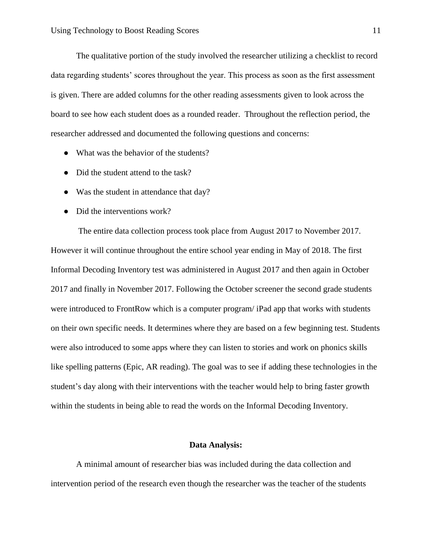The qualitative portion of the study involved the researcher utilizing a checklist to record data regarding students' scores throughout the year. This process as soon as the first assessment is given. There are added columns for the other reading assessments given to look across the board to see how each student does as a rounded reader. Throughout the reflection period, the researcher addressed and documented the following questions and concerns:

- What was the behavior of the students?
- Did the student attend to the task?
- Was the student in attendance that day?
- Did the interventions work?

The entire data collection process took place from August 2017 to November 2017. However it will continue throughout the entire school year ending in May of 2018. The first Informal Decoding Inventory test was administered in August 2017 and then again in October 2017 and finally in November 2017. Following the October screener the second grade students were introduced to FrontRow which is a computer program/ iPad app that works with students on their own specific needs. It determines where they are based on a few beginning test. Students were also introduced to some apps where they can listen to stories and work on phonics skills like spelling patterns (Epic, AR reading). The goal was to see if adding these technologies in the student's day along with their interventions with the teacher would help to bring faster growth within the students in being able to read the words on the Informal Decoding Inventory.

#### **Data Analysis:**

A minimal amount of researcher bias was included during the data collection and intervention period of the research even though the researcher was the teacher of the students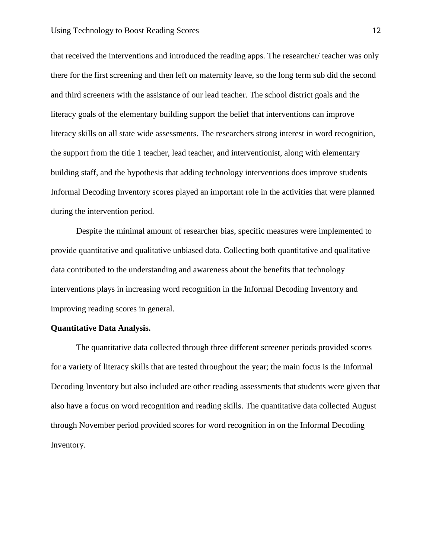that received the interventions and introduced the reading apps. The researcher/ teacher was only there for the first screening and then left on maternity leave, so the long term sub did the second and third screeners with the assistance of our lead teacher. The school district goals and the literacy goals of the elementary building support the belief that interventions can improve literacy skills on all state wide assessments. The researchers strong interest in word recognition, the support from the title 1 teacher, lead teacher, and interventionist, along with elementary building staff, and the hypothesis that adding technology interventions does improve students Informal Decoding Inventory scores played an important role in the activities that were planned during the intervention period.

Despite the minimal amount of researcher bias, specific measures were implemented to provide quantitative and qualitative unbiased data. Collecting both quantitative and qualitative data contributed to the understanding and awareness about the benefits that technology interventions plays in increasing word recognition in the Informal Decoding Inventory and improving reading scores in general.

#### **Quantitative Data Analysis.**

The quantitative data collected through three different screener periods provided scores for a variety of literacy skills that are tested throughout the year; the main focus is the Informal Decoding Inventory but also included are other reading assessments that students were given that also have a focus on word recognition and reading skills. The quantitative data collected August through November period provided scores for word recognition in on the Informal Decoding Inventory.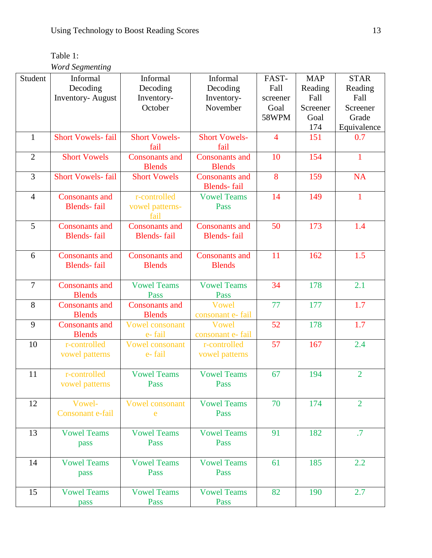| Table 1:               |
|------------------------|
| <b>Word Segmenting</b> |

| Student        | Informal                 | Informal               | Informal              | FAST-                 | <b>MAP</b> | <b>STAR</b>     |  |
|----------------|--------------------------|------------------------|-----------------------|-----------------------|------------|-----------------|--|
|                |                          |                        |                       |                       |            |                 |  |
|                | Decoding                 | Decoding               | Decoding              | Fall                  | Reading    | Reading         |  |
|                | <b>Inventory-August</b>  | Inventory-             | Inventory-            | screener              | Fall       | Fall            |  |
|                |                          | October                | November              | Goal                  | Screener   | Screener        |  |
|                |                          |                        |                       | 58WPM                 | Goal       | Grade           |  |
|                |                          |                        |                       |                       | 174        | Equivalence     |  |
| $\mathbf{1}$   | <b>Short Vowels-fail</b> | <b>Short Vowels-</b>   | <b>Short Vowels-</b>  | 151<br>$\overline{4}$ |            | 0.7             |  |
|                |                          | fail                   | fail                  |                       |            |                 |  |
| $\overline{2}$ | <b>Short Vowels</b>      | <b>Consonants and</b>  | <b>Consonants and</b> | 10                    | 154        | $\mathbf{1}$    |  |
|                |                          | <b>Blends</b>          | <b>Blends</b>         |                       |            |                 |  |
| $\overline{3}$ | <b>Short Vowels-fail</b> | <b>Short Vowels</b>    | <b>Consonants and</b> | 8                     | 159        | <b>NA</b>       |  |
|                |                          |                        | <b>Blends-fail</b>    |                       |            |                 |  |
| $\overline{4}$ | <b>Consonants and</b>    | r-controlled           | <b>Vowel Teams</b>    | 14                    | 149        | $\mathbf{1}$    |  |
|                | <b>Blends-fail</b>       | vowel patterns-        | Pass                  |                       |            |                 |  |
|                |                          | fail                   |                       |                       |            |                 |  |
| 5              | <b>Consonants and</b>    | <b>Consonants and</b>  | <b>Consonants and</b> | 50                    | 173        | 1.4             |  |
|                | <b>Blends-fail</b>       | <b>Blends-fail</b>     | <b>Blends-fail</b>    |                       |            |                 |  |
|                |                          |                        |                       |                       |            |                 |  |
|                |                          |                        |                       | 11                    |            | 1.5             |  |
| 6              | <b>Consonants and</b>    | <b>Consonants and</b>  | <b>Consonants and</b> |                       | 162        |                 |  |
|                | <b>Blends-fail</b>       | <b>Blends</b>          | <b>Blends</b>         |                       |            |                 |  |
|                |                          |                        |                       |                       |            |                 |  |
| $\overline{7}$ | <b>Consonants and</b>    | <b>Vowel Teams</b>     | <b>Vowel Teams</b>    | 34                    | 178        | 2.1             |  |
|                | <b>Blends</b>            | Pass                   | Pass                  |                       |            |                 |  |
| 8              | <b>Consonants and</b>    | <b>Consonants</b> and  | <b>Vowel</b>          | 77                    | 177        | 1.7             |  |
|                | <b>Blends</b>            | <b>Blends</b>          | consonant e- fail     |                       |            |                 |  |
| 9              | <b>Consonants and</b>    | <b>Vowel consonant</b> | Vowel                 | 52                    | 178        | 1.7             |  |
|                | <b>Blends</b>            | e-fail                 | consonant e- fail     |                       |            |                 |  |
| 10             | r-controlled             | <b>Vowel consonant</b> | r-controlled          | 57                    | 167        | 2.4             |  |
|                | vowel patterns           | e-fail                 | vowel patterns        |                       |            |                 |  |
|                |                          |                        |                       |                       |            |                 |  |
| 11             | r-controlled             | <b>Vowel Teams</b>     | <b>Vowel Teams</b>    | 67                    | 194        | $\overline{2}$  |  |
|                | vowel patterns           | Pass                   | Pass                  |                       |            |                 |  |
|                |                          |                        |                       |                       |            |                 |  |
| 12             | Vowel-                   | <b>Vowel consonant</b> | <b>Vowel Teams</b>    | 70                    | 174        | $\overline{2}$  |  |
|                | Consonant e-fail         | e                      | Pass                  |                       |            |                 |  |
|                |                          |                        |                       |                       |            |                 |  |
| 13             | <b>Vowel Teams</b>       | <b>Vowel Teams</b>     | <b>Vowel Teams</b>    | 91                    | 182        | $.7\phantom{0}$ |  |
|                | pass                     | Pass                   | Pass                  |                       |            |                 |  |
|                |                          |                        |                       |                       |            |                 |  |
| 14             | <b>Vowel Teams</b>       | <b>Vowel Teams</b>     | <b>Vowel Teams</b>    | 61                    | 185        | 2.2             |  |
|                | pass                     | Pass                   | Pass                  |                       |            |                 |  |
|                |                          |                        |                       |                       |            |                 |  |
| 15             | <b>Vowel Teams</b>       | <b>Vowel Teams</b>     | <b>Vowel Teams</b>    | 82                    | 190        | 2.7             |  |
|                |                          | Pass                   | Pass                  |                       |            |                 |  |
|                | pass                     |                        |                       |                       |            |                 |  |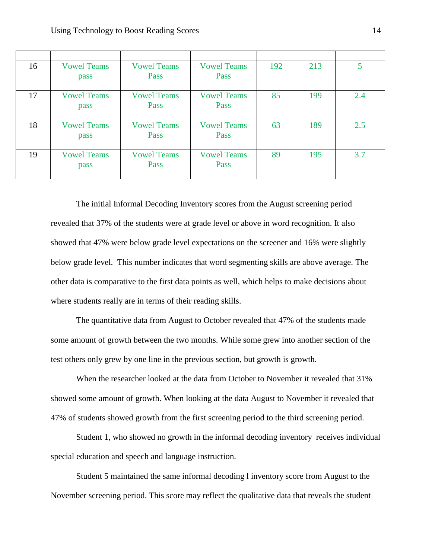| 16 | <b>Vowel Teams</b><br>pass | <b>Vowel Teams</b><br>Pass | <b>Vowel Teams</b><br>Pass | 192 | 213 | 5   |
|----|----------------------------|----------------------------|----------------------------|-----|-----|-----|
| 17 | <b>Vowel Teams</b><br>pass | <b>Vowel Teams</b><br>Pass | <b>Vowel Teams</b><br>Pass | 85  | 199 | 2.4 |
| 18 | <b>Vowel Teams</b><br>pass | <b>Vowel Teams</b><br>Pass | <b>Vowel Teams</b><br>Pass | 63  | 189 | 2.5 |
| 19 | <b>Vowel Teams</b><br>pass | <b>Vowel Teams</b><br>Pass | <b>Vowel Teams</b><br>Pass | 89  | 195 | 3.7 |

The initial Informal Decoding Inventory scores from the August screening period revealed that 37% of the students were at grade level or above in word recognition. It also showed that 47% were below grade level expectations on the screener and 16% were slightly below grade level. This number indicates that word segmenting skills are above average. The other data is comparative to the first data points as well, which helps to make decisions about where students really are in terms of their reading skills.

The quantitative data from August to October revealed that 47% of the students made some amount of growth between the two months. While some grew into another section of the test others only grew by one line in the previous section, but growth is growth.

When the researcher looked at the data from October to November it revealed that 31% showed some amount of growth. When looking at the data August to November it revealed that 47% of students showed growth from the first screening period to the third screening period.

Student 1, who showed no growth in the informal decoding inventory receives individual special education and speech and language instruction.

Student 5 maintained the same informal decoding l inventory score from August to the November screening period. This score may reflect the qualitative data that reveals the student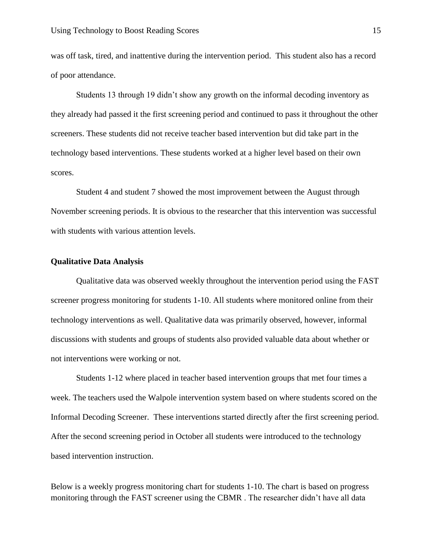was off task, tired, and inattentive during the intervention period. This student also has a record of poor attendance.

Students 13 through 19 didn't show any growth on the informal decoding inventory as they already had passed it the first screening period and continued to pass it throughout the other screeners. These students did not receive teacher based intervention but did take part in the technology based interventions. These students worked at a higher level based on their own scores.

Student 4 and student 7 showed the most improvement between the August through November screening periods. It is obvious to the researcher that this intervention was successful with students with various attention levels.

## **Qualitative Data Analysis**

Qualitative data was observed weekly throughout the intervention period using the FAST screener progress monitoring for students 1-10. All students where monitored online from their technology interventions as well. Qualitative data was primarily observed, however, informal discussions with students and groups of students also provided valuable data about whether or not interventions were working or not.

Students 1-12 where placed in teacher based intervention groups that met four times a week. The teachers used the Walpole intervention system based on where students scored on the Informal Decoding Screener. These interventions started directly after the first screening period. After the second screening period in October all students were introduced to the technology based intervention instruction.

Below is a weekly progress monitoring chart for students 1-10. The chart is based on progress monitoring through the FAST screener using the CBMR . The researcher didn't have all data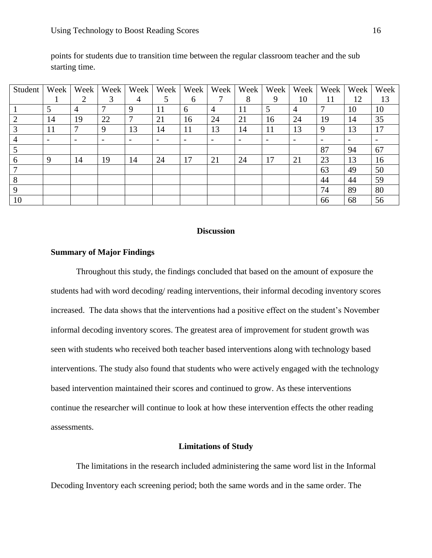| Student        | Week | Week                     | Week | Week          | Week | Week | Week           | Week | Week | Week           | Week | Week | Week |
|----------------|------|--------------------------|------|---------------|------|------|----------------|------|------|----------------|------|------|------|
|                |      | ∍                        | 3    | 4             | 5    | 6    |                | 8    | 9    | 10             | 11   | 12   | 13   |
|                |      | 4                        |      | 9             | 11   | 6    | $\overline{4}$ | 11   | 5    | $\overline{4}$ |      | 10   | 10   |
| 2              | 14   | 19                       | 22   | $\mathcal{I}$ | 21   | 16   | 24             | 21   | 16   | 24             | 19   | 14   | 35   |
| 3              | 11   | 7                        | 9    | 13            | 14   | 11   | 13             | 14   | 11   | 13             | 9    | 13   | 17   |
| $\overline{4}$ |      | $\overline{\phantom{0}}$ |      |               |      |      |                |      |      |                |      |      |      |
|                |      |                          |      |               |      |      |                |      |      |                | 87   | 94   | 67   |
| 6              | -9   | 14                       | 19   | 14            | 24   | 17   | 21             | 24   | 17   | 21             | 23   | 13   | 16   |
| $\mathcal{I}$  |      |                          |      |               |      |      |                |      |      |                | 63   | 49   | 50   |
| 8              |      |                          |      |               |      |      |                |      |      |                | 44   | 44   | 59   |
| $\mathbf{Q}$   |      |                          |      |               |      |      |                |      |      |                | 74   | 89   | 80   |
| 10             |      |                          |      |               |      |      |                |      |      |                | 66   | 68   | 56   |

points for students due to transition time between the regular classroom teacher and the sub starting time.

# **Discussion**

# **Summary of Major Findings**

Throughout this study, the findings concluded that based on the amount of exposure the students had with word decoding/ reading interventions, their informal decoding inventory scores increased. The data shows that the interventions had a positive effect on the student's November informal decoding inventory scores. The greatest area of improvement for student growth was seen with students who received both teacher based interventions along with technology based interventions. The study also found that students who were actively engaged with the technology based intervention maintained their scores and continued to grow. As these interventions continue the researcher will continue to look at how these intervention effects the other reading assessments.

#### **Limitations of Study**

The limitations in the research included administering the same word list in the Informal Decoding Inventory each screening period; both the same words and in the same order. The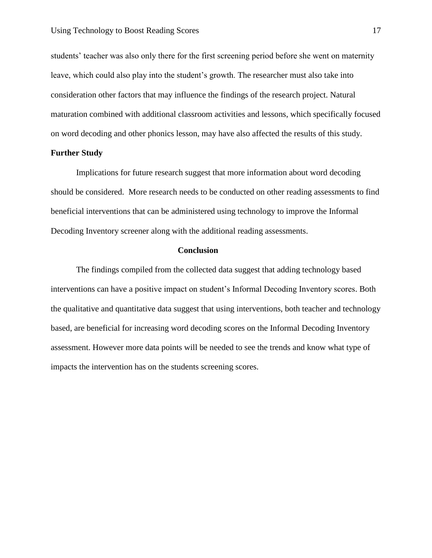students' teacher was also only there for the first screening period before she went on maternity leave, which could also play into the student's growth. The researcher must also take into consideration other factors that may influence the findings of the research project. Natural maturation combined with additional classroom activities and lessons, which specifically focused on word decoding and other phonics lesson, may have also affected the results of this study.

# **Further Study**

Implications for future research suggest that more information about word decoding should be considered. More research needs to be conducted on other reading assessments to find beneficial interventions that can be administered using technology to improve the Informal Decoding Inventory screener along with the additional reading assessments.

#### **Conclusion**

The findings compiled from the collected data suggest that adding technology based interventions can have a positive impact on student's Informal Decoding Inventory scores. Both the qualitative and quantitative data suggest that using interventions, both teacher and technology based, are beneficial for increasing word decoding scores on the Informal Decoding Inventory assessment. However more data points will be needed to see the trends and know what type of impacts the intervention has on the students screening scores.